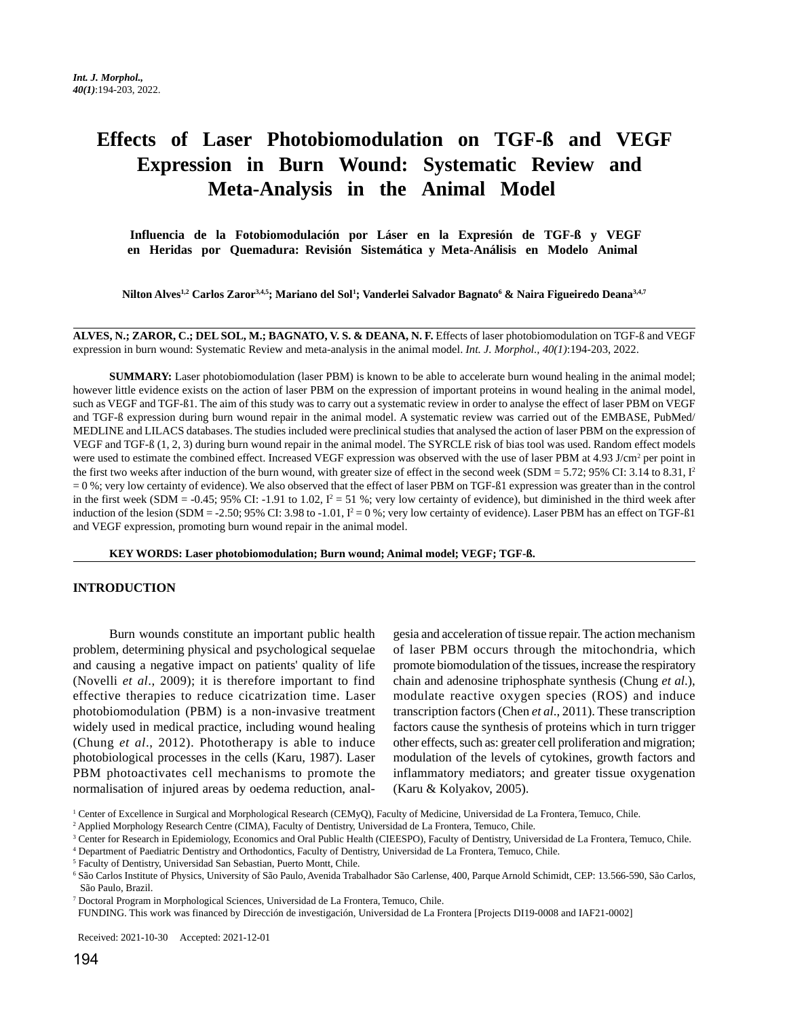# **Effects of Laser Photobiomodulation on TGF-ß and VEGF Expression in Burn Wound: Systematic Review and Meta-Analysis in the Animal Model**

 **Influencia de la Fotobiomodulación por Láser en la Expresión de TGF-ß y VEGF en Heridas por Quemadura: Revisión Sistemática y Meta-Análisis en Modelo Animal**

**Nilton Alves1,2 Carlos Zaror3,4,5; Mariano del Sol1 ; Vanderlei Salvador Bagnato6 & Naira Figueiredo Deana3,4,7**

**ALVES, N.; ZAROR, C.; DEL SOL, M.; BAGNATO, V. S. & DEANA, N. F.** Effects of laser photobiomodulation on TGF-ß and VEGF expression in burn wound: Systematic Review and meta-analysis in the animal model. *Int. J. Morphol., 40(1)*:194-203, 2022.

**SUMMARY:** Laser photobiomodulation (laser PBM) is known to be able to accelerate burn wound healing in the animal model; however little evidence exists on the action of laser PBM on the expression of important proteins in wound healing in the animal model, such as VEGF and TGF-ß1. The aim of this study was to carry out a systematic review in order to analyse the effect of laser PBM on VEGF and TGF-ß expression during burn wound repair in the animal model. A systematic review was carried out of the EMBASE, PubMed/ MEDLINE and LILACS databases. The studies included were preclinical studies that analysed the action of laser PBM on the expression of VEGF and TGF-ß (1, 2, 3) during burn wound repair in the animal model. The SYRCLE risk of bias tool was used. Random effect models were used to estimate the combined effect. Increased VEGF expression was observed with the use of laser PBM at 4.93 J/cm<sup>2</sup> per point in the first two weeks after induction of the burn wound, with greater size of effect in the second week (SDM = 5.72; 95% CI: 3.14 to 8.31,  $I<sup>2</sup>$ = 0 %; very low certainty of evidence). We also observed that the effect of laser PBM on TGF-ß1 expression was greater than in the control in the first week (SDM = -0.45; 95% CI: -1.91 to 1.02,  $I^2 = 51$  %; very low certainty of evidence), but diminished in the third week after induction of the lesion (SDM = -2.50; 95% CI: 3.98 to -1.01,  $I^2 = 0$  %; very low certainty of evidence). Laser PBM has an effect on TGF-ß1 and VEGF expression, promoting burn wound repair in the animal model.

**KEY WORDS: Laser photobiomodulation; Burn wound; Animal model; VEGF; TGF-ß.**

## **INTRODUCTION**

Burn wounds constitute an important public health problem, determining physical and psychological sequelae and causing a negative impact on patients' quality of life (Novelli *et al*., 2009); it is therefore important to find effective therapies to reduce cicatrization time. Laser photobiomodulation (PBM) is a non-invasive treatment widely used in medical practice, including wound healing (Chung *et al*., 2012). Phototherapy is able to induce photobiological processes in the cells (Karu, 1987). Laser PBM photoactivates cell mechanisms to promote the normalisation of injured areas by oedema reduction, analgesia and acceleration of tissue repair. The action mechanism of laser PBM occurs through the mitochondria, which promote biomodulation of the tissues, increase the respiratory chain and adenosine triphosphate synthesis (Chung *et al*.), modulate reactive oxygen species (ROS) and induce transcription factors (Chen *et al*., 2011). These transcription factors cause the synthesis of proteins which in turn trigger other effects, such as: greater cell proliferation and migration; modulation of the levels of cytokines, growth factors and inflammatory mediators; and greater tissue oxygenation (Karu & Kolyakov, 2005).

FUNDING. This work was financed by Dirección de investigación, Universidad de La Frontera [Projects DI19-0008 and IAF21-0002]

Received: 2021-10-30 Accepted: 2021-12-01

<sup>&</sup>lt;sup>1</sup> Center of Excellence in Surgical and Morphological Research (CEMyQ), Faculty of Medicine, Universidad de La Frontera, Temuco, Chile.

<sup>2</sup> Applied Morphology Research Centre (CIMA), Faculty of Dentistry, Universidad de La Frontera, Temuco, Chile.

<sup>&</sup>lt;sup>3</sup> Center for Research in Epidemiology, Economics and Oral Public Health (CIEESPO), Faculty of Dentistry, Universidad de La Frontera, Temuco, Chile.

<sup>4</sup> Department of Paediatric Dentistry and Orthodontics, Faculty of Dentistry, Universidad de La Frontera, Temuco, Chile.

<sup>5</sup> Faculty of Dentistry, Universidad San Sebastian, Puerto Montt, Chile.

<sup>6</sup> São Carlos Institute of Physics, University of São Paulo, Avenida Trabalhador São Carlense, 400, Parque Arnold Schimidt, CEP: 13.566-590, São Carlos, São Paulo, Brazil.

<sup>7</sup> Doctoral Program in Morphological Sciences, Universidad de La Frontera, Temuco, Chile.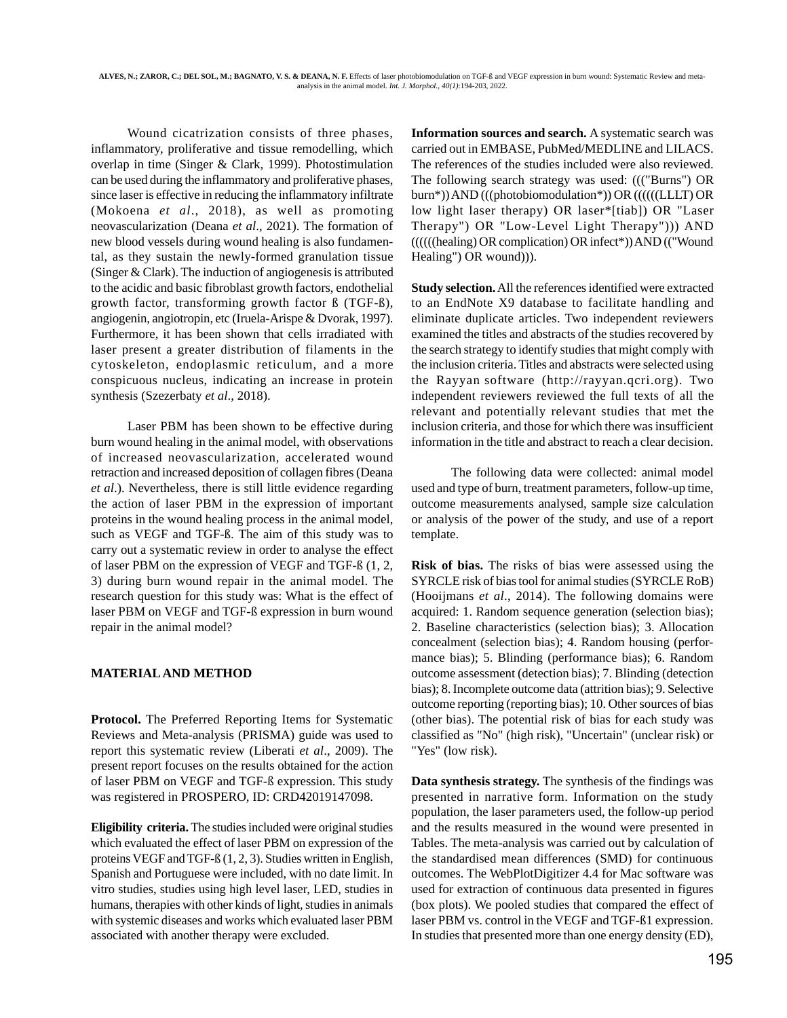Wound cicatrization consists of three phases, inflammatory, proliferative and tissue remodelling, which overlap in time (Singer & Clark, 1999). Photostimulation can be used during the inflammatory and proliferative phases, since laser is effective in reducing the inflammatory infiltrate (Mokoena *et al*., 2018), as well as promoting neovascularization (Deana *et al*., 2021). The formation of new blood vessels during wound healing is also fundamental, as they sustain the newly-formed granulation tissue (Singer & Clark). The induction of angiogenesis is attributed to the acidic and basic fibroblast growth factors, endothelial growth factor, transforming growth factor ß (TGF-ß), angiogenin, angiotropin, etc (Iruela-Arispe & Dvorak, 1997). Furthermore, it has been shown that cells irradiated with laser present a greater distribution of filaments in the cytoskeleton, endoplasmic reticulum, and a more conspicuous nucleus, indicating an increase in protein synthesis (Szezerbaty *et al*., 2018).

Laser PBM has been shown to be effective during burn wound healing in the animal model, with observations of increased neovascularization, accelerated wound retraction and increased deposition of collagen fibres (Deana *et al*.). Nevertheless, there is still little evidence regarding the action of laser PBM in the expression of important proteins in the wound healing process in the animal model, such as VEGF and TGF-ß. The aim of this study was to carry out a systematic review in order to analyse the effect of laser PBM on the expression of VEGF and TGF-ß (1, 2, 3) during burn wound repair in the animal model. The research question for this study was: What is the effect of laser PBM on VEGF and TGF-ß expression in burn wound repair in the animal model?

## **MATERIAL AND METHOD**

**Protocol.** The Preferred Reporting Items for Systematic Reviews and Meta-analysis (PRISMA) guide was used to report this systematic review (Liberati *et al*., 2009). The present report focuses on the results obtained for the action of laser PBM on VEGF and TGF-ß expression. This study was registered in PROSPERO, ID: CRD42019147098.

**Eligibility criteria.** The studies included were original studies which evaluated the effect of laser PBM on expression of the proteins VEGF and TGF-ß (1, 2, 3). Studies written in English, Spanish and Portuguese were included, with no date limit. In vitro studies, studies using high level laser, LED, studies in humans, therapies with other kinds of light, studies in animals with systemic diseases and works which evaluated laser PBM associated with another therapy were excluded.

**Information sources and search.** A systematic search was carried out in EMBASE, PubMed/MEDLINE and LILACS. The references of the studies included were also reviewed. The following search strategy was used: ((("Burns") OR burn\*)) AND (((photobiomodulation\*)) OR ((((((LLLT) OR low light laser therapy) OR laser\*[tiab]) OR "Laser Therapy") OR "Low-Level Light Therapy"))) AND ((((((healing) OR complication) OR infect\*)) AND (("Wound Healing") OR wound))).

**Study selection.** All the references identified were extracted to an EndNote X9 database to facilitate handling and eliminate duplicate articles. Two independent reviewers examined the titles and abstracts of the studies recovered by the search strategy to identify studies that might comply with the inclusion criteria. Titles and abstracts were selected using the Rayyan software (http://rayyan.qcri.org). Two independent reviewers reviewed the full texts of all the relevant and potentially relevant studies that met the inclusion criteria, and those for which there was insufficient information in the title and abstract to reach a clear decision.

 The following data were collected: animal model used and type of burn, treatment parameters, follow-up time, outcome measurements analysed, sample size calculation or analysis of the power of the study, and use of a report template.

**Risk of bias.** The risks of bias were assessed using the SYRCLE risk of bias tool for animal studies (SYRCLE RoB) (Hooijmans *et al*., 2014). The following domains were acquired: 1. Random sequence generation (selection bias); 2. Baseline characteristics (selection bias); 3. Allocation concealment (selection bias); 4. Random housing (performance bias); 5. Blinding (performance bias); 6. Random outcome assessment (detection bias); 7. Blinding (detection bias); 8. Incomplete outcome data (attrition bias); 9. Selective outcome reporting (reporting bias); 10. Other sources of bias (other bias). The potential risk of bias for each study was classified as "No" (high risk), "Uncertain" (unclear risk) or "Yes" (low risk).

**Data synthesis strategy.** The synthesis of the findings was presented in narrative form. Information on the study population, the laser parameters used, the follow-up period and the results measured in the wound were presented in Tables. The meta-analysis was carried out by calculation of the standardised mean differences (SMD) for continuous outcomes. The WebPlotDigitizer 4.4 for Mac software was used for extraction of continuous data presented in figures (box plots). We pooled studies that compared the effect of laser PBM vs. control in the VEGF and TGF-ß1 expression. In studies that presented more than one energy density (ED),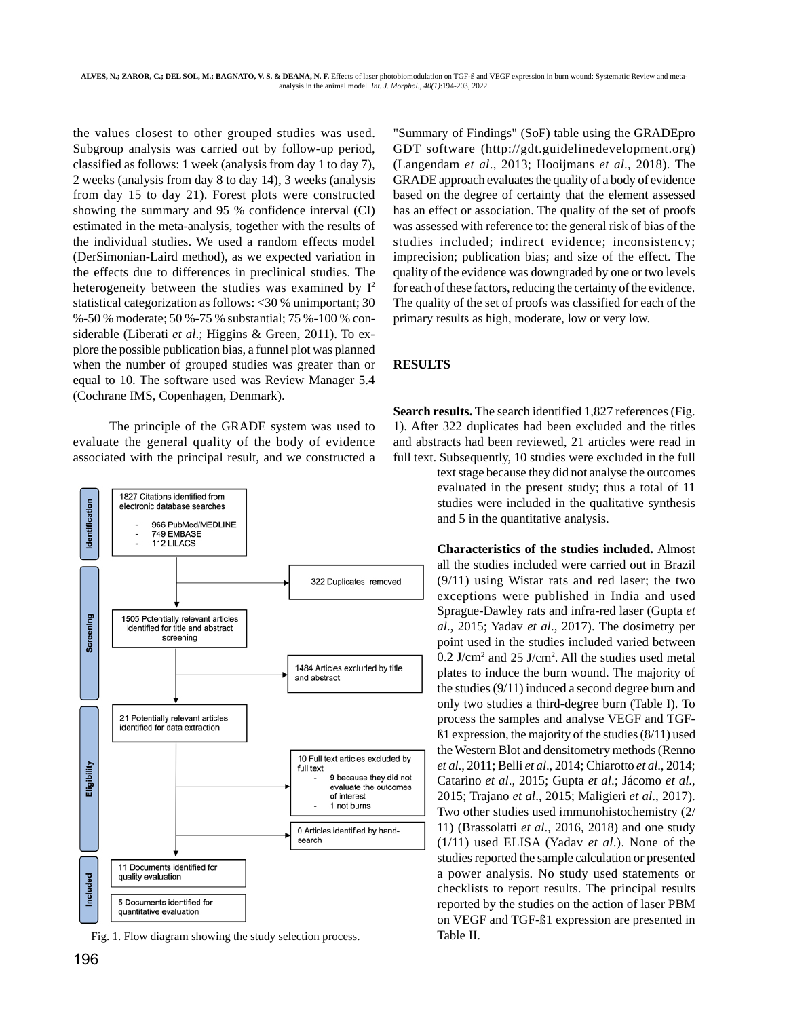the values closest to other grouped studies was used. Subgroup analysis was carried out by follow-up period, classified as follows: 1 week (analysis from day 1 to day 7), 2 weeks (analysis from day 8 to day 14), 3 weeks (analysis from day 15 to day 21). Forest plots were constructed showing the summary and 95 % confidence interval (CI) estimated in the meta-analysis, together with the results of the individual studies. We used a random effects model (DerSimonian-Laird method), as we expected variation in the effects due to differences in preclinical studies. The heterogeneity between the studies was examined by  $I^2$ statistical categorization as follows: <30 % unimportant; 30 %-50 % moderate; 50 %-75 % substantial; 75 %-100 % considerable (Liberati *et al*.; Higgins & Green, 2011). To explore the possible publication bias, a funnel plot was planned when the number of grouped studies was greater than or equal to 10. The software used was Review Manager 5.4 (Cochrane IMS, Copenhagen, Denmark).

The principle of the GRADE system was used to evaluate the general quality of the body of evidence associated with the principal result, and we constructed a



Fig. 1. Flow diagram showing the study selection process. Table II.

"Summary of Findings" (SoF) table using the GRADEpro GDT software (http://gdt.guidelinedevelopment.org) (Langendam *et al*., 2013; Hooijmans *et al*., 2018). The GRADE approach evaluates the quality of a body of evidence based on the degree of certainty that the element assessed has an effect or association. The quality of the set of proofs was assessed with reference to: the general risk of bias of the studies included; indirect evidence; inconsistency; imprecision; publication bias; and size of the effect. The quality of the evidence was downgraded by one or two levels for each of these factors, reducing the certainty of the evidence. The quality of the set of proofs was classified for each of the primary results as high, moderate, low or very low.

## **RESULTS**

**Search results.** The search identified 1,827 references (Fig. 1). After 322 duplicates had been excluded and the titles and abstracts had been reviewed, 21 articles were read in full text. Subsequently, 10 studies were excluded in the full

> text stage because they did not analyse the outcomes evaluated in the present study; thus a total of 11 studies were included in the qualitative synthesis and 5 in the quantitative analysis.

**Characteristics of the studies included.** Almost all the studies included were carried out in Brazil (9/11) using Wistar rats and red laser; the two exceptions were published in India and used Sprague-Dawley rats and infra-red laser (Gupta *et al*., 2015; Yadav *et al*., 2017). The dosimetry per point used in the studies included varied between  $0.2$  J/cm<sup>2</sup> and  $25$  J/cm<sup>2</sup>. All the studies used metal plates to induce the burn wound. The majority of the studies (9/11) induced a second degree burn and only two studies a third-degree burn (Table I). To process the samples and analyse VEGF and TGFß1 expression, the majority of the studies (8/11) used the Western Blot and densitometry methods (Renno *et al*., 2011; Belli *et al*., 2014; Chiarotto *et al*., 2014; Catarino *et al*., 2015; Gupta *et al*.; Jácomo *et al*., 2015; Trajano *et al*., 2015; Maligieri *et al*., 2017). Two other studies used immunohistochemistry (2/ 11) (Brassolatti *et al*., 2016, 2018) and one study (1/11) used ELISA (Yadav *et al*.). None of the studies reported the sample calculation or presented a power analysis. No study used statements or checklists to report results. The principal results reported by the studies on the action of laser PBM on VEGF and TGF-ß1 expression are presented in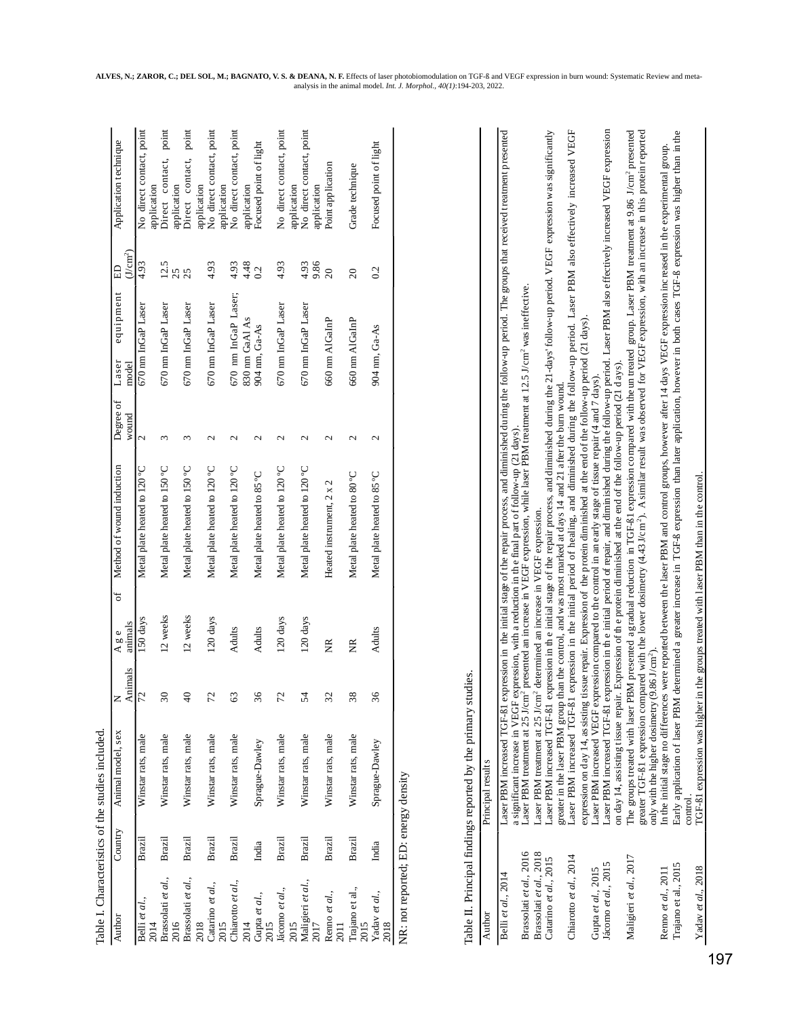|                                                  |               | Table I. Characteristics of the studies included.                                      |                          |                   |   |                                                                                                                                                                                                                                                                                                                                                                                                                                     |                    |                                 |                           |                                                        |
|--------------------------------------------------|---------------|----------------------------------------------------------------------------------------|--------------------------|-------------------|---|-------------------------------------------------------------------------------------------------------------------------------------------------------------------------------------------------------------------------------------------------------------------------------------------------------------------------------------------------------------------------------------------------------------------------------------|--------------------|---------------------------------|---------------------------|--------------------------------------------------------|
| Author                                           | Country       | Animal model, sex                                                                      | Animals                  | animals<br>A g e  | đ | Method of wound induction                                                                                                                                                                                                                                                                                                                                                                                                           | Degree of<br>wound | equipment<br>Laser<br>model     | (J/cm <sup>2</sup> )<br>E | Application technique                                  |
| Belli et al.,<br>2014                            | Brazil        | Winstar rats, male                                                                     | N,                       | 150 days          |   | Metal plate heated to 120 °C                                                                                                                                                                                                                                                                                                                                                                                                        | $\mathbf{C}$       | 670 nm InGaP Laser              | 4.93                      | No direct contact, point<br>application                |
| Brassolati et al.,<br>2016                       | Brazil        | Winstar rats, male                                                                     | $\overline{\mathbf{30}}$ | 12 weeks          |   | Metal plate heated to 150 °C                                                                                                                                                                                                                                                                                                                                                                                                        | $\epsilon$         | 670 nm InGaP Laser              | 12.5<br>25                | point<br>contact,<br>application<br>Direct             |
| Brassolati et al.,                               | Brazil        | Winstar rats, male                                                                     | $\frac{1}{4}$            | 12 weeks          |   | Metal plate heated to 150 °C                                                                                                                                                                                                                                                                                                                                                                                                        | 3                  | 670 nm InGaP Laser              | 25                        | point<br>contact,<br>Direct                            |
| Catarino et al.,<br>2018                         | Brazil        | Winstar rats, male                                                                     | 5                        | 120 days          |   | Metal plate heated to 120 °C                                                                                                                                                                                                                                                                                                                                                                                                        | $\mathbf{c}$       | 670 nm InGaP Laser              | 4.93                      | No direct contact, point<br>application                |
| Chiarotto et al.,<br>2015                        | Brazil        | Winstar rats, male                                                                     | $\mathcal{C}$            | Adults            |   | Metal plate heated to 120 °C                                                                                                                                                                                                                                                                                                                                                                                                        | $\mathbf{c}$       | 670 nm InGaP Laser;             | 4.93                      | No direct contact, point<br>application                |
| Gupta et al.,<br>2014<br>2015                    | India         | Sprague-Dawley                                                                         | ٯ                        | Adults            |   | Metal plate heated to 85 °C                                                                                                                                                                                                                                                                                                                                                                                                         | $\mathbf{c}$       | 830 nm GaAl As<br>904 nm, Ga-As | 4.48<br>0.2               | Focused point of light<br>application                  |
| Jácomo et al.,                                   | Brazil        | Winstar rats, male                                                                     | 5                        | 120 days          |   | Metal plate heated to 120 °C                                                                                                                                                                                                                                                                                                                                                                                                        | $\mathbf{\sim}$    | 670 nm InGaP Laser              | 4.93                      | No direct contact, point                               |
| Maligieri et al.,<br>2015<br>2017                | Brazil        | Winstar rats, male                                                                     | 54                       | 120 days          |   | Metal plate heated to 120 °C                                                                                                                                                                                                                                                                                                                                                                                                        | 2                  | 670 nm InGaP Laser              | 9.86<br>4.93              | No direct contact, point<br>application<br>application |
| Renno et al.,<br>2011                            | <b>Brazil</b> | Winstar rats, male                                                                     | 32                       | $\widetilde{\Xi}$ |   | Heated instrument, 2 x 2                                                                                                                                                                                                                                                                                                                                                                                                            | $\mathbf{C}$       | 660 nm AlGaInP                  | $\Omega$                  | Point application                                      |
| Trajano et al.,<br>2015                          | Brazil        | Winstar rats, male                                                                     | ${}^{\circ}$             | $\widetilde{\Xi}$ |   | Metal plate heated to 80°C                                                                                                                                                                                                                                                                                                                                                                                                          | $\mathbf{c}$       | 660 nm AlGaInP                  | $\infty$                  | Grade technique                                        |
| Yadav et al.,<br>2018                            | India         | Sprague-Dawley                                                                         | 6                        | Adults            |   | Metal plate heated to 85 °C                                                                                                                                                                                                                                                                                                                                                                                                         | $\mathbf{C}$       | 904 nm, Ga-As                   | 0.2                       | Focused point of light                                 |
| NR: not reported; ED: energy density<br>Author   |               | Table II. Principal findings reported by the primary studies<br>Principal results      |                          |                   |   |                                                                                                                                                                                                                                                                                                                                                                                                                                     |                    |                                 |                           |                                                        |
|                                                  |               |                                                                                        |                          |                   |   |                                                                                                                                                                                                                                                                                                                                                                                                                                     |                    |                                 |                           |                                                        |
| Brassolati et al., 2016<br>Belli et al., 2014    |               |                                                                                        |                          |                   |   | Laser PBM increased TGF-81 expression in the initial stage of the repair process, and diminished during the follow-up period. The groups that received treatment presented<br>a significant increase in VEGF expression, with a reduction in the final part of follow-up (21 days).<br>Laser PBM treatment at 25 J/cm <sup>2</sup> presented an increase in VEGF expression, while laser PBM treatment at 12.5 J/cm <sup>2</sup> wa |                    |                                 |                           |                                                        |
| Brassolati et al., 2018<br>Catarino et al., 2015 |               | Laser PBM treatment at 25 J/cm <sup>2</sup> determined an increase in VEGF expression. |                          |                   |   | Laser PBM increased TGF-81 expression in the initial stage of the repair process, and diminished during the 21-days' follow-up period. VEGF expression was significantly                                                                                                                                                                                                                                                            |                    |                                 |                           |                                                        |
| Chiarotto et al., 2014                           |               | Laser PBM increased TGF-81                                                             |                          |                   |   | expression in the initial period of healing, and diminished during the follow-up period. Laser PBM also effectively increased VEGF<br>greater in the laser PBM group than the control, and was most marked at days 14 and 21 after the burn wound.                                                                                                                                                                                  |                    |                                 |                           |                                                        |
| Gupta et al., 2015                               |               | expression on day 14, as sisting                                                       |                          |                   |   | tissue repair. Expression of the protein diminished at the end of the follow-up period (21 days)<br>Laser PBM increased VEGF expression compared to the control in an early stage of tissue repair (4 and 7 days).                                                                                                                                                                                                                  |                    |                                 |                           |                                                        |
| Jácomo et al., 2015                              |               |                                                                                        |                          |                   |   | Laser PBM increased TGF-ß1 expression in th e initial period of repair, and diminished during the follow-up period. Laser PBM also effectively increased VEGF expression<br>on day 14, assisting tissue repair. Expression of the protein diminished at the end of the follow-up period (21 days).                                                                                                                                  |                    |                                 |                           |                                                        |
| Maligieri et al., 2017                           |               |                                                                                        |                          |                   |   | The groups treated with laser PBM presented agradual reduction in TGF-81 expression compared with the un treated group. Laser PBM treatment at 9.86 J/cm <sup>2</sup> presented<br>greater TGF-ß1 expression compared with the lower dosimetry (4.43 J/cm <sup>2</sup> ). A similar result was observed for VEGF expression, with an increase in this protein reported                                                              |                    |                                 |                           |                                                        |
| Renno et al., 2011                               |               | only with the high er dosimetry (9.86 J/cm <sup>2</sup> ).                             |                          |                   |   | In the initial stage no differences were reported between the laser PBM and control groups, however after 14 days VEGF expression inc reased in the experimental group.                                                                                                                                                                                                                                                             |                    |                                 |                           |                                                        |
| Trajano et al., 2015                             |               | Early application of laser PBM                                                         |                          |                   |   | determined a greater increase in TGF-8 expression than later application, however in both cases TGF-8 expression was higher than in the                                                                                                                                                                                                                                                                                             |                    |                                 |                           |                                                        |
| Yadav et al., 2018                               |               | TGF-ß1 expression was higher<br>control                                                |                          |                   |   | in the groups treated with laser PBM than in the control.                                                                                                                                                                                                                                                                                                                                                                           |                    |                                 |                           |                                                        |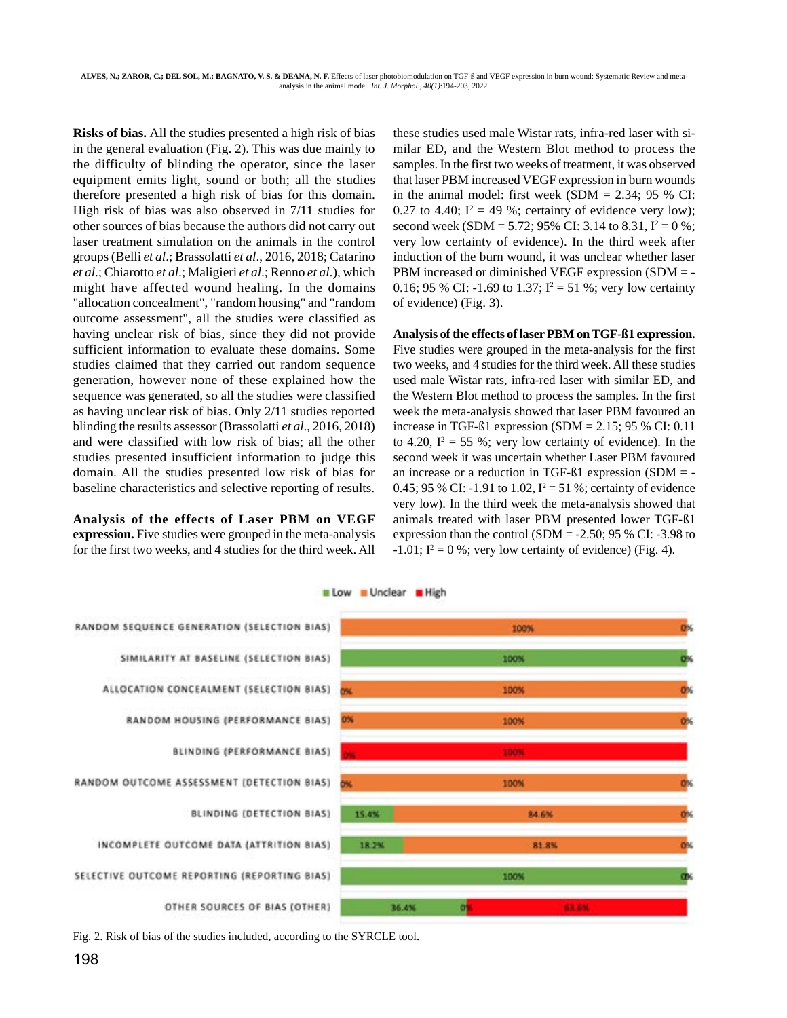**Risks of bias.** All the studies presented a high risk of bias in the general evaluation (Fig. 2). This was due mainly to the difficulty of blinding the operator, since the laser equipment emits light, sound or both; all the studies therefore presented a high risk of bias for this domain. High risk of bias was also observed in 7/11 studies for other sources of bias because the authors did not carry out laser treatment simulation on the animals in the control groups (Belli *et al*.; Brassolatti *et al*., 2016, 2018; Catarino *et al*.; Chiarotto *et al*.; Maligieri *et al*.; Renno *et al*.), which might have affected wound healing. In the domains "allocation concealment", "random housing" and "random outcome assessment", all the studies were classified as having unclear risk of bias, since they did not provide sufficient information to evaluate these domains. Some studies claimed that they carried out random sequence generation, however none of these explained how the sequence was generated, so all the studies were classified as having unclear risk of bias. Only 2/11 studies reported blinding the results assessor (Brassolatti *et al*., 2016, 2018) and were classified with low risk of bias; all the other studies presented insufficient information to judge this domain. All the studies presented low risk of bias for baseline characteristics and selective reporting of results.

### **Analysis of the effects of Laser PBM on VEGF expression.** Five studies were grouped in the meta-analysis for the first two weeks, and 4 studies for the third week. All

these studies used male Wistar rats, infra-red laser with similar ED, and the Western Blot method to process the samples. In the first two weeks of treatment, it was observed that laser PBM increased VEGF expression in burn wounds in the animal model: first week  $(SDM = 2.34; 95 %$  CI: 0.27 to 4.40;  $I^2 = 49$  %; certainty of evidence very low); second week (SDM = 5.72; 95% CI: 3.14 to 8.31,  $I^2 = 0$ %; very low certainty of evidence). In the third week after induction of the burn wound, it was unclear whether laser PBM increased or diminished VEGF expression (SDM = - 0.16; 95 % CI: -1.69 to 1.37;  $I^2 = 51$  %; very low certainty of evidence) (Fig. 3).

# **Analysis of the effects of laser PBM on TGF-ß1 expression.** Five studies were grouped in the meta-analysis for the first two weeks, and 4 studies for the third week. All these studies used male Wistar rats, infra-red laser with similar ED, and the Western Blot method to process the samples. In the first week the meta-analysis showed that laser PBM favoured an increase in TGF- $\beta$ 1 expression (SDM = 2.15; 95 % CI: 0.11 to 4.20,  $I^2 = 55$  %; very low certainty of evidence). In the second week it was uncertain whether Laser PBM favoured an increase or a reduction in TGF-ß1 expression (SDM = - 0.45; 95 % CI: -1.91 to 1.02,  $I^2 = 51$  %; certainty of evidence very low). In the third week the meta-analysis showed that animals treated with laser PBM presented lower TGF-ß1 expression than the control (SDM =  $-2.50$ ; 95 % CI:  $-3.98$  to  $-1.01$ ;  $I^2 = 0$  %; very low certainty of evidence) (Fig. 4).



Fig. 2. Risk of bias of the studies included, according to the SYRCLE tool.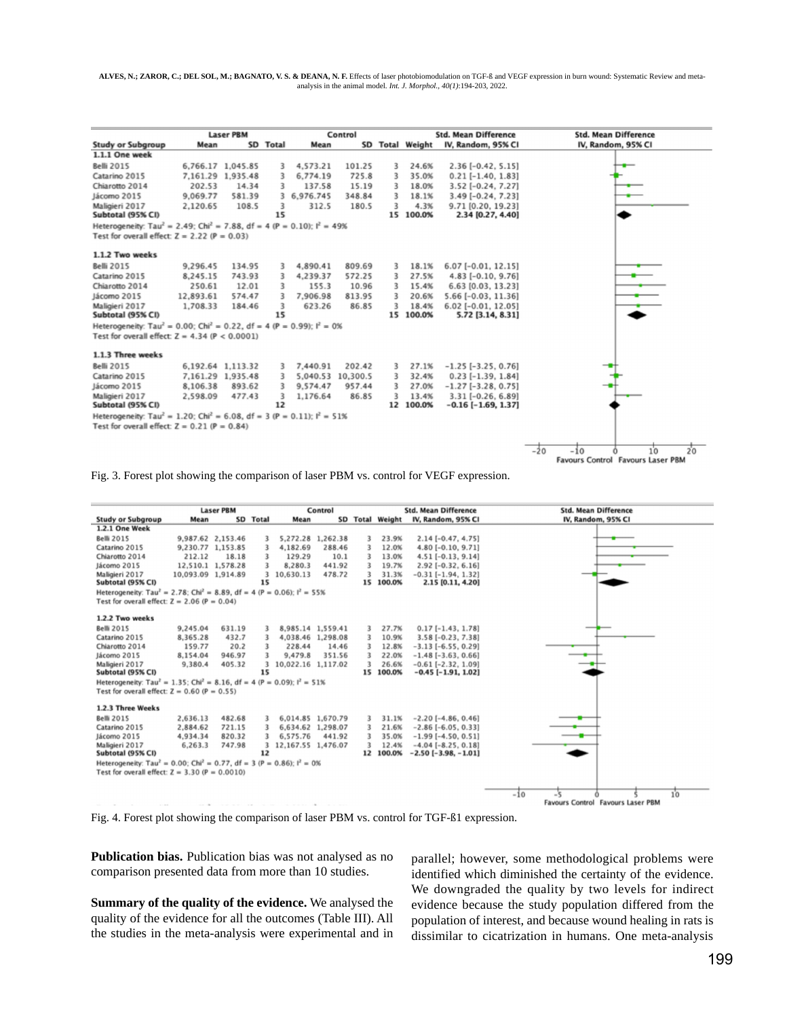**ALVES, N.; ZAROR, C.; DEL SOL, M.; BAGNATO, V. S. & DEANA, N. F.** Effects of laser photobiomodulation on TGF-ß and VEGF expression in burn wound: Systematic Review and metaanalysis in the animal model. *Int. J. Morphol., 40(1)*:194-203, 2022.

|                                                                                                 | <b>Laser PBM</b> |                   |          |                   | Control |   |                 | <b>Std. Mean Difference</b> | <b>Std. Mean Difference</b>         |
|-------------------------------------------------------------------------------------------------|------------------|-------------------|----------|-------------------|---------|---|-----------------|-----------------------------|-------------------------------------|
| <b>Study or Subgroup</b>                                                                        | Mean             |                   | SD Total | Mean              |         |   | SD Total Weight | IV, Random, 95% CI          | IV, Random, 95% CI                  |
| 1.1.1 One week                                                                                  |                  |                   |          |                   |         |   |                 |                             |                                     |
| <b>Belli 2015</b>                                                                               |                  | 6,766.17 1,045.85 | 3        | 4,573.21          | 101.25  | 3 | 24.6%           | $2.36[-0.42, 5.15]$         |                                     |
| Catarino 2015                                                                                   |                  | 7,161.29 1,935.48 | 3        | 6,774.19          | 725.8   | 3 | 35.0%           | $0.21$ [-1.40, 1.83]        |                                     |
| Chiarotto 2014                                                                                  | 202.53           | 14.34             | 3        | 137.58            | 15.19   | 3 | 18.0%           | 3.52 [-0.24, 7.27]          |                                     |
| Jácomo 2015                                                                                     | 9,069.77         | 581.39            | 3        | 6,976.745         | 348.84  | 3 | 18.1%           | $3.49$ [-0.24, 7.23]        |                                     |
| Maligieri 2017                                                                                  | 2,120.65         | 108.5             | 3        | 312.5             | 180.5   | 3 | 4.3%            | 9.71 [0.20, 19.23]          |                                     |
| Subtotal (95% CI)                                                                               |                  |                   | 15       |                   |         |   | 15 100.0%       | 2.34 [0.27, 4.40]           |                                     |
| Heterogeneity: Tau <sup>2</sup> = 2.49: Chi <sup>2</sup> = 7.88, df = 4 (P = 0.10): $I^2$ = 49% |                  |                   |          |                   |         |   |                 |                             |                                     |
| Test for overall effect: $Z = 2.22$ (P = 0.03)                                                  |                  |                   |          |                   |         |   |                 |                             |                                     |
| 1.1.2 Two weeks                                                                                 |                  |                   |          |                   |         |   |                 |                             |                                     |
| <b>Belli 2015</b>                                                                               | 9,296.45         | 134.95            | 3        | 4,890.41          | 809.69  | 3 | 18.1%           | $6.07$ [-0.01, 12.15]       |                                     |
| Catarino 2015                                                                                   | 8,245.15         | 743.93            | 3        | 4,239.37          | 572.25  | 3 | 27.5%           | $4.83$ [-0.10, 9.76]        |                                     |
| Chiarotto 2014                                                                                  | 250.61           | 12.01             | 3        | 155.3             | 10.96   | 3 | 15.4%           | 6.63 [0.03, 13.23]          |                                     |
| Jácomo 2015                                                                                     | 12,893.61        | 574.47            | 3        | 7,906.98          | 813.95  | 3 | 20.6%           | $5.66$ [-0.03, 11.36]       |                                     |
| Maligieri 2017                                                                                  | 1,708.33         | 184.46            | 3        | 623.26            | 86.85   | 3 | 18.4%           | 6.02 [-0.01, 12.05]         |                                     |
| Subtotal (95% CI)                                                                               |                  |                   | 15       |                   |         |   | 15 100.0%       | 5.72 [3.14, 8.31]           |                                     |
| Heterogeneity: Tau <sup>2</sup> = 0.00; Chi <sup>2</sup> = 0.22, df = 4 (P = 0.99); $I^2$ = 0%  |                  |                   |          |                   |         |   |                 |                             |                                     |
| Test for overall effect: $Z = 4.34$ (P < 0.0001)                                                |                  |                   |          |                   |         |   |                 |                             |                                     |
| 1.1.3 Three weeks                                                                               |                  |                   |          |                   |         |   |                 |                             |                                     |
| <b>Belli 2015</b>                                                                               |                  | 6,192.64 1,113.32 | 3        | 7,440.91          | 202.42  | 3 | 27.1%           | $-1.25$ [ $-3.25$ , 0.76]   |                                     |
| Catarino 2015                                                                                   |                  | 7,161.29 1,935.48 | 3        | 5,040.53 10,300.5 |         | 3 | 32.4%           | $0.23$ [-1.39, 1.84]        |                                     |
| Jácomo 2015                                                                                     | 8,106.38         | 893.62            | 3        | 9,574.47          | 957.44  | 3 | 27.0%           | $-1.27$ [ $-3.28$ , 0.75]   |                                     |
| Maligieri 2017                                                                                  | 2,598.09         | 477.43            | 3        | 1,176.64          | 86.85   | 3 | 13.4%           | $3.31$ [-0.26, 6.89]        |                                     |
| Subtotal (95% CI)                                                                               |                  |                   | 12       |                   |         |   | 12 100.0%       | $-0.16$ [ $-1.69$ , 1.37]   |                                     |
| Heterogeneity: Tau <sup>2</sup> = 1.20; Chi <sup>2</sup> = 6.08, df = 3 (P = 0.11); $I^2$ = 51% |                  |                   |          |                   |         |   |                 |                             |                                     |
| Test for overall effect: $Z = 0.21$ (P = 0.84)                                                  |                  |                   |          |                   |         |   |                 |                             |                                     |
|                                                                                                 |                  |                   |          |                   |         |   |                 |                             | $2^{\circ}$<br>$-20$<br>$-10$<br>10 |
|                                                                                                 |                  |                   |          |                   |         |   |                 |                             | Favours Control Favours Laser PBM   |

Fig. 3. Forest plot showing the comparison of laser PBM vs. control for VEGF expression.

|                                                                                                          | <b>Laser PBM</b>   |                   | Control  |                    |                   |    | <b>Std. Mean Difference</b> | <b>Std. Mean Difference</b> |                                   |
|----------------------------------------------------------------------------------------------------------|--------------------|-------------------|----------|--------------------|-------------------|----|-----------------------------|-----------------------------|-----------------------------------|
| <b>Study or Subgroup</b>                                                                                 | Mean               |                   | SD Total | Mean               |                   |    | SD Total Weight             | IV. Random, 95% CI          | IV, Random, 95% CI                |
| 1.2.1 One Week                                                                                           |                    |                   |          |                    |                   |    |                             |                             |                                   |
| <b>Belli 2015</b>                                                                                        |                    | 9,987.62 2,153.46 | 3        |                    | 5,272.28 1,262.38 | 3  | 23.9%                       | $2.14[-0.47, 4.75]$         |                                   |
| Catarino 2015                                                                                            |                    | 9,230.77 1,153.85 | 3        | 4,182.69           | 288.46            | 3  | 12.0%                       | 4.80 [-0.10, 9.71]          |                                   |
| Chiarotto 2014                                                                                           | 212.12             | 18.18             | 3        | 129.29             | 10.1              | 3  | 13.0%                       | $4.51$ [-0.13, 9.14]        |                                   |
| Jácomo 2015                                                                                              |                    | 12,510.1 1,578.28 | 3        | 8,280.3            | 441.92            | 3  | 19.7%                       | $2.92$ [-0.32, 6.16]        |                                   |
| Maligieri 2017                                                                                           | 10,093.09 1,914.89 |                   |          | 3 10,630.13        | 478.72            | 3  | 31.3%                       | $-0.31$ [ $-1.94$ , 1.32]   |                                   |
| Subtotal (95% CI)                                                                                        |                    |                   | 15       |                    |                   |    | 15 100.0%                   | 2.15 [0.11, 4.20]           |                                   |
| Heterogeneity: Tau <sup>2</sup> = 2.78; Chi <sup>2</sup> = 8.89, df = 4 (P = 0.06); l <sup>2</sup> = 55% |                    |                   |          |                    |                   |    |                             |                             |                                   |
| Test for overall effect: $Z = 2.06$ (P = 0.04)                                                           |                    |                   |          |                    |                   |    |                             |                             |                                   |
| 1.2.2 Two weeks                                                                                          |                    |                   |          |                    |                   |    |                             |                             |                                   |
| <b>Belli 2015</b>                                                                                        | 9,245.04           | 631.19            |          |                    | 8,985.14 1,559.41 | 3  | 27.7%                       | $0.17[-1.43, 1.78]$         |                                   |
| Catarino 2015                                                                                            | 8,365.28           | 432.7             | 3        |                    | 4,038.46 1,298.08 | 3  | 10.9%                       | $3.58[-0.23, 7.38]$         |                                   |
| Chiarotto 2014                                                                                           | 159.77             | 20.2              |          | 228.44             | 14.46             | 3  | 12.8%                       | $-3.13$ [ $-6.55, 0.29$ ]   |                                   |
| Jácomo 2015                                                                                              | 8.154.04           | 946.97            |          | 9,479.8            | 351.56            | 3  | 22.0%                       | $-1.48$ [ $-3.63$ , 0.66]   |                                   |
| Maligieri 2017                                                                                           | 9,380.4            | 405.32            | 3        | 10,022.16 1,117.02 |                   | 3  | 26.6%                       | $-0.61$ [ $-2.32$ , 1.09]   |                                   |
| Subtotal (95% CI)                                                                                        |                    |                   | 15       |                    |                   |    | 15 100.0%                   | $-0.45$ [ $-1.91$ , 1.02]   |                                   |
| Heterogeneity: Tau <sup>2</sup> = 1.35; Chi <sup>2</sup> = 8.16, df = 4 (P = 0.09); $I^2$ = 51%          |                    |                   |          |                    |                   |    |                             |                             |                                   |
| Test for overall effect: $Z = 0.60$ (P = 0.55)                                                           |                    |                   |          |                    |                   |    |                             |                             |                                   |
| 1.2.3 Three Weeks                                                                                        |                    |                   |          |                    |                   |    |                             |                             |                                   |
| <b>Belli 2015</b>                                                                                        | 2,636.13           | 482.68            | 3        |                    | 6,014.85 1,670.79 | 3  | 31.1%                       | $-2.20$ [ $-4.86$ , 0.46]   |                                   |
| Catarino 2015                                                                                            | 2,884.62           | 721.15            | 3        |                    | 6,634.62 1,298.07 | 3  | 21.6%                       | $-2.86$ [ $-6.05, 0.33$ ]   |                                   |
| Jácomo 2015                                                                                              | 4,934.34           | 820.32            |          | 6,575.76           | 441.92            | 3  | 35.0%                       | $-1.99$ [ $-4.50, 0.51$ ]   |                                   |
| Maligieri 2017                                                                                           | 6,263.3            | 747.98            | 3        | 12,167.55 1,476.07 |                   |    | 12.4%                       | $-4.04$ [ $-8.25, 0.18$ ]   |                                   |
| Subtotal (95% CI)                                                                                        |                    |                   | 12       |                    |                   | 12 | 100.0%                      | $-2.50[-3.98, -1.01]$       |                                   |
| Heterogeneity: Tau <sup>2</sup> = 0.00; Chi <sup>2</sup> = 0.77, df = 3 (P = 0.86); $I^2 = 0$ %          |                    |                   |          |                    |                   |    |                             |                             |                                   |
| Test for overall effect: $Z = 3.30$ (P = 0.0010)                                                         |                    |                   |          |                    |                   |    |                             |                             |                                   |
|                                                                                                          |                    |                   |          |                    |                   |    |                             |                             |                                   |
|                                                                                                          |                    |                   |          |                    |                   |    |                             |                             | $-10$                             |
| $-0.00000$                                                                                               |                    |                   |          |                    |                   |    |                             |                             | Favours Control Favours Laser PBM |

Fig. 4. Forest plot showing the comparison of laser PBM vs. control for TGF-ß1 expression.

**Publication bias.** Publication bias was not analysed as no comparison presented data from more than 10 studies.

**Summary of the quality of the evidence.** We analysed the quality of the evidence for all the outcomes (Table III). All the studies in the meta-analysis were experimental and in

parallel; however, some methodological problems were identified which diminished the certainty of the evidence. We downgraded the quality by two levels for indirect evidence because the study population differed from the population of interest, and because wound healing in rats is dissimilar to cicatrization in humans. One meta-analysis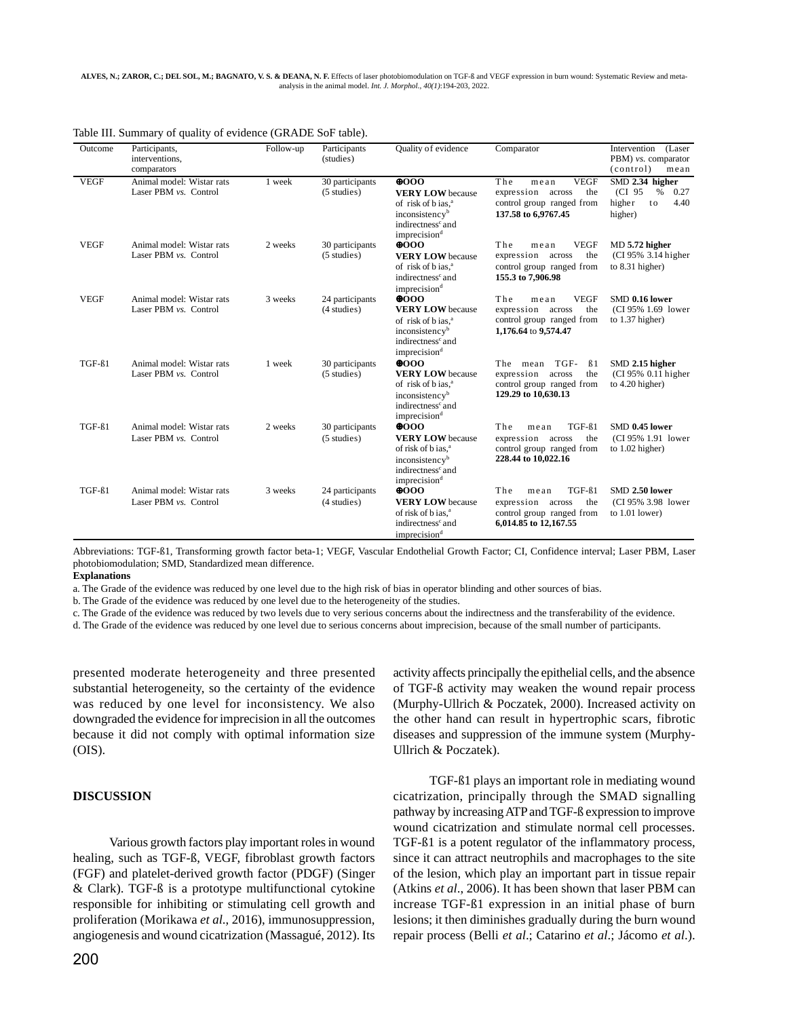| Outcome      | Participants,<br>interventions,<br>comparators     | Follow-up | Participants<br>(studies)                | Quality of evidence                                                                                                                                                  | Comparator                                                                                                       | Intervention<br>(Laser<br>PBM) vs. comparator<br>(control)<br>mean           |
|--------------|----------------------------------------------------|-----------|------------------------------------------|----------------------------------------------------------------------------------------------------------------------------------------------------------------------|------------------------------------------------------------------------------------------------------------------|------------------------------------------------------------------------------|
| <b>VEGF</b>  | Animal model: Wistar rats<br>Laser PBM vs. Control | 1 week    | 30 participants<br>$(5 \text{ studies})$ | $\Phi$ 000<br><b>VERY LOW</b> because<br>of risk of b ias, <sup>a</sup><br>inconsistency <sup>b</sup><br>indirectness <sup>c</sup> and<br>imprecision <sup>d</sup>   | <b>VEGF</b><br>The<br>mean<br>expression across<br>the<br>control group ranged from<br>137.58 to 6.9767.45       | SMD 2.34 higher<br>0.27<br>(CI 95<br>$\%$<br>4.40<br>higher<br>to<br>higher) |
| <b>VEGF</b>  | Animal model: Wistar rats<br>Laser PBM vs. Control | 2 weeks   | 30 participants<br>$(5 \text{ studies})$ | $\Theta$ 000<br><b>VERY LOW</b> because<br>of risk of b ias, <sup>a</sup><br>indirectness <sup>c</sup> and<br>imprecision <sup>d</sup>                               | The<br><b>VEGF</b><br>mean<br>expression<br>the<br>across<br>control group ranged from<br>155.3 to 7,906.98      | MD 5.72 higher<br>(CI 95% 3.14 higher<br>to 8.31 higher)                     |
| <b>VEGF</b>  | Animal model: Wistar rats<br>Laser PBM vs. Control | 3 weeks   | 24 participants<br>(4 studies)           | 0000<br><b>VERY LOW</b> because<br>of risk of bias, <sup>a</sup><br>inconsistency <sup>b</sup><br>indirectness <sup>c</sup> and<br>imprecision <sup>d</sup>          | The<br><b>VEGF</b><br>mean<br>expression across<br>the<br>control group ranged from<br>1,176.64 to 9,574.47      | SMD 0.16 lower<br>(CI 95% 1.69 lower<br>to $1.37$ higher)                    |
| TGF-ß1       | Animal model: Wistar rats<br>Laser PBM vs. Control | 1 week    | 30 participants<br>$(5 \text{ studies})$ | $\Theta$ 000<br><b>VERY LOW</b> because<br>of risk of bias, <sup>a</sup><br>inconsistency <sup>b</sup><br>indirectness <sup>c</sup> and<br>imprecision <sup>d</sup>  | TGF-<br>The mean<br>$\beta$ 1<br>expression<br>the<br>across<br>control group ranged from<br>129.29 to 10,630.13 | SMD 2.15 higher<br>(CI 95% 0.11 higher)<br>to $4.20$ higher)                 |
| $TGF-\beta1$ | Animal model: Wistar rats<br>Laser PBM vs. Control | 2 weeks   | 30 participants<br>$(5 \times)$          | $\Theta$ 000<br><b>VERY LOW</b> because<br>of risk of b ias. <sup>a</sup><br>inconsistency <sup>b</sup><br>indirectness <sup>c</sup> and<br>imprecision <sup>d</sup> | The<br>$TGF-\beta1$<br>mean<br>expression across<br>the<br>control group ranged from<br>228.44 to 10,022.16      | SMD 0.45 lower<br>(CI 95% 1.91 lower<br>to $1.02$ higher)                    |
| $TGF-\beta1$ | Animal model: Wistar rats<br>Laser PBM vs. Control | 3 weeks   | 24 participants<br>(4 studies)           | $\Phi$ 000<br><b>VERY LOW</b> because<br>of risk of b ias. <sup>a</sup><br>indirectness <sup>c</sup> and<br>imprecision <sup>d</sup>                                 | $TGF-\beta1$<br>The<br>mean<br>expression<br>the<br>across<br>control group ranged from<br>6,014.85 to 12,167.55 | SMD 2.50 lower<br>(CI 95% 3.98 lower)<br>to $1.01$ lower)                    |

Table III. Summary of quality of evidence (GRADE SoF table).

Abbreviations: TGF-ß1, Transforming growth factor beta-1; VEGF, Vascular Endothelial Growth Factor; CI, Confidence interval; Laser PBM, Laser photobiomodulation; SMD, Standardized mean difference.

**Explanations**

a. The Grade of the evidence was reduced by one level due to the high risk of bias in operator blinding and other sources of bias.

b. The Grade of the evidence was reduced by one level due to the heterogeneity of the studies.

c. The Grade of the evidence was reduced by two levels due to very serious concerns about the indirectness and the transferability of the evidence.

d. The Grade of the evidence was reduced by one level due to serious concerns about imprecision, because of the small number of participants.

presented moderate heterogeneity and three presented substantial heterogeneity, so the certainty of the evidence was reduced by one level for inconsistency. We also downgraded the evidence for imprecision in all the outcomes because it did not comply with optimal information size (OIS).

#### **DISCUSSION**

Various growth factors play important roles in wound healing, such as TGF-ß, VEGF, fibroblast growth factors (FGF) and platelet-derived growth factor (PDGF) (Singer & Clark). TGF-ß is a prototype multifunctional cytokine responsible for inhibiting or stimulating cell growth and proliferation (Morikawa *et al*., 2016), immunosuppression, angiogenesis and wound cicatrization (Massagué, 2012). Its

200

activity affects principally the epithelial cells, and the absence of TGF-ß activity may weaken the wound repair process (Murphy-Ullrich & Poczatek, 2000). Increased activity on the other hand can result in hypertrophic scars, fibrotic diseases and suppression of the immune system (Murphy-Ullrich & Poczatek).

TGF-ß1 plays an important role in mediating wound cicatrization, principally through the SMAD signalling pathway by increasing ATP and TGF-ß expression to improve wound cicatrization and stimulate normal cell processes. TGF-ß1 is a potent regulator of the inflammatory process, since it can attract neutrophils and macrophages to the site of the lesion, which play an important part in tissue repair (Atkins *et al*., 2006). It has been shown that laser PBM can increase TGF-ß1 expression in an initial phase of burn lesions; it then diminishes gradually during the burn wound repair process (Belli *et al*.; Catarino *et al*.; Jácomo *et al*.).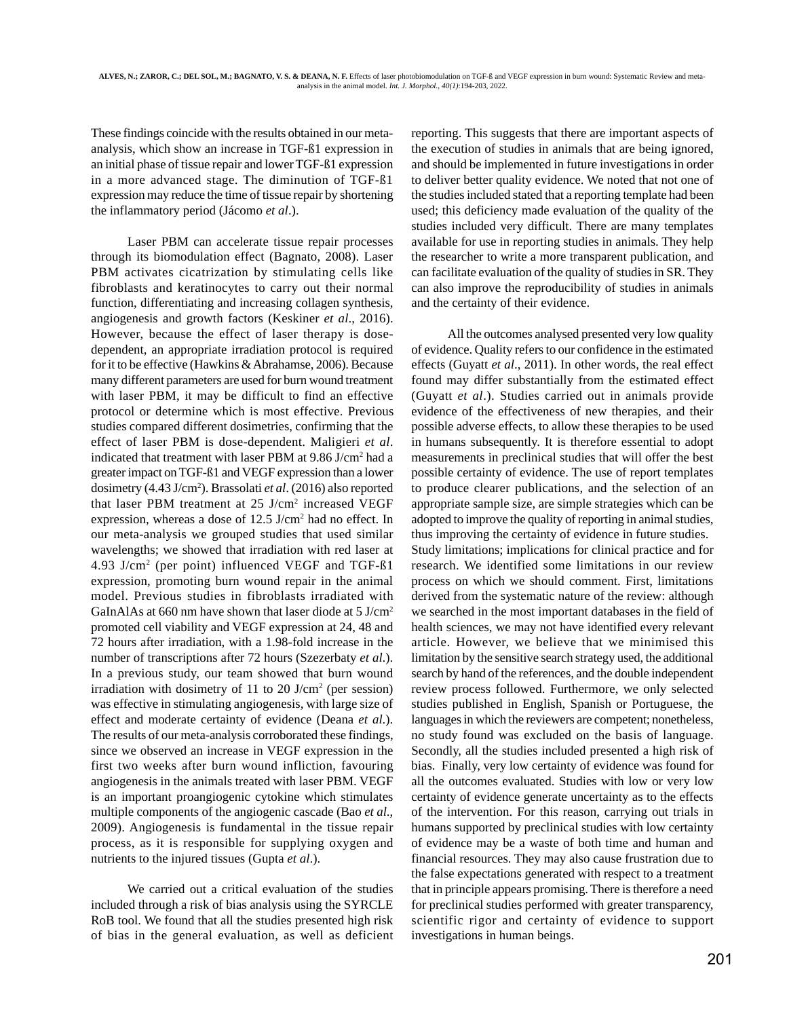These findings coincide with the results obtained in our metaanalysis, which show an increase in TGF-ß1 expression in an initial phase of tissue repair and lower TGF-ß1 expression in a more advanced stage. The diminution of TGF-ß1 expression may reduce the time of tissue repair by shortening the inflammatory period (Jácomo *et al*.).

Laser PBM can accelerate tissue repair processes through its biomodulation effect (Bagnato, 2008). Laser PBM activates cicatrization by stimulating cells like fibroblasts and keratinocytes to carry out their normal function, differentiating and increasing collagen synthesis, angiogenesis and growth factors (Keskiner *et al*., 2016). However, because the effect of laser therapy is dosedependent, an appropriate irradiation protocol is required for it to be effective (Hawkins & Abrahamse, 2006). Because many different parameters are used for burn wound treatment with laser PBM, it may be difficult to find an effective protocol or determine which is most effective. Previous studies compared different dosimetries, confirming that the effect of laser PBM is dose-dependent. Maligieri *et al*. indicated that treatment with laser PBM at 9.86 J/cm<sup>2</sup> had a greater impact on TGF-ß1 and VEGF expression than a lower dosimetry (4.43 J/cm2 ). Brassolati *et al*. (2016) also reported that laser PBM treatment at 25 J/cm<sup>2</sup> increased VEGF expression, whereas a dose of 12.5 J/cm<sup>2</sup> had no effect. In our meta-analysis we grouped studies that used similar wavelengths; we showed that irradiation with red laser at 4.93 J/cm2 (per point) influenced VEGF and TGF-ß1 expression, promoting burn wound repair in the animal model. Previous studies in fibroblasts irradiated with GaInAlAs at 660 nm have shown that laser diode at 5 J/cm2 promoted cell viability and VEGF expression at 24, 48 and 72 hours after irradiation, with a 1.98-fold increase in the number of transcriptions after 72 hours (Szezerbaty *et al*.). In a previous study, our team showed that burn wound irradiation with dosimetry of 11 to 20 J/cm<sup>2</sup> (per session) was effective in stimulating angiogenesis, with large size of effect and moderate certainty of evidence (Deana *et al*.). The results of our meta-analysis corroborated these findings, since we observed an increase in VEGF expression in the first two weeks after burn wound infliction, favouring angiogenesis in the animals treated with laser PBM. VEGF is an important proangiogenic cytokine which stimulates multiple components of the angiogenic cascade (Bao *et al*., 2009). Angiogenesis is fundamental in the tissue repair process, as it is responsible for supplying oxygen and nutrients to the injured tissues (Gupta *et al*.).

We carried out a critical evaluation of the studies included through a risk of bias analysis using the SYRCLE RoB tool. We found that all the studies presented high risk of bias in the general evaluation, as well as deficient reporting. This suggests that there are important aspects of the execution of studies in animals that are being ignored, and should be implemented in future investigations in order to deliver better quality evidence. We noted that not one of the studies included stated that a reporting template had been used; this deficiency made evaluation of the quality of the studies included very difficult. There are many templates available for use in reporting studies in animals. They help the researcher to write a more transparent publication, and can facilitate evaluation of the quality of studies in SR. They can also improve the reproducibility of studies in animals and the certainty of their evidence.

All the outcomes analysed presented very low quality of evidence. Quality refers to our confidence in the estimated effects (Guyatt *et al*., 2011). In other words, the real effect found may differ substantially from the estimated effect (Guyatt *et al*.). Studies carried out in animals provide evidence of the effectiveness of new therapies, and their possible adverse effects, to allow these therapies to be used in humans subsequently. It is therefore essential to adopt measurements in preclinical studies that will offer the best possible certainty of evidence. The use of report templates to produce clearer publications, and the selection of an appropriate sample size, are simple strategies which can be adopted to improve the quality of reporting in animal studies, thus improving the certainty of evidence in future studies. Study limitations; implications for clinical practice and for research. We identified some limitations in our review process on which we should comment. First, limitations derived from the systematic nature of the review: although we searched in the most important databases in the field of health sciences, we may not have identified every relevant article. However, we believe that we minimised this limitation by the sensitive search strategy used, the additional search by hand of the references, and the double independent review process followed. Furthermore, we only selected studies published in English, Spanish or Portuguese, the languages in which the reviewers are competent; nonetheless, no study found was excluded on the basis of language. Secondly, all the studies included presented a high risk of bias. Finally, very low certainty of evidence was found for all the outcomes evaluated. Studies with low or very low certainty of evidence generate uncertainty as to the effects of the intervention. For this reason, carrying out trials in humans supported by preclinical studies with low certainty of evidence may be a waste of both time and human and financial resources. They may also cause frustration due to the false expectations generated with respect to a treatment that in principle appears promising. There is therefore a need for preclinical studies performed with greater transparency, scientific rigor and certainty of evidence to support investigations in human beings.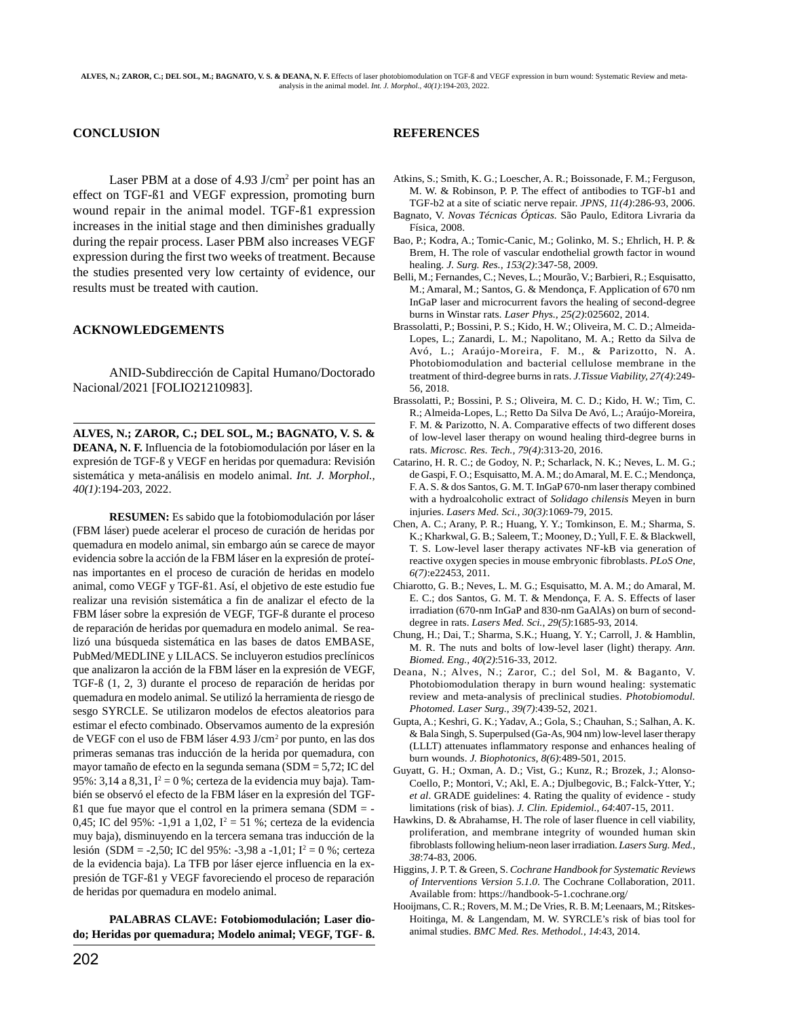## **CONCLUSION**

Laser PBM at a dose of  $4.93$  J/cm<sup>2</sup> per point has an effect on TGF-ß1 and VEGF expression, promoting burn wound repair in the animal model. TGF-ß1 expression increases in the initial stage and then diminishes gradually during the repair process. Laser PBM also increases VEGF expression during the first two weeks of treatment. Because the studies presented very low certainty of evidence, our results must be treated with caution.

#### **ACKNOWLEDGEMENTS**

ANID-Subdirección de Capital Humano/Doctorado Nacional/2021 [FOLIO21210983].

**ALVES, N.; ZAROR, C.; DEL SOL, M.; BAGNATO, V. S. & DEANA, N. F.** Influencia de la fotobiomodulación por láser en la expresión de TGF-ß y VEGF en heridas por quemadura: Revisión sistemática y meta-análisis en modelo animal. *Int. J. Morphol., 40(1)*:194-203, 2022.

**RESUMEN:** Es sabido que la fotobiomodulación por láser (FBM láser) puede acelerar el proceso de curación de heridas por quemadura en modelo animal, sin embargo aún se carece de mayor evidencia sobre la acción de la FBM láser en la expresión de proteínas importantes en el proceso de curación de heridas en modelo animal, como VEGF y TGF-ß1. Así, el objetivo de este estudio fue realizar una revisión sistemática a fin de analizar el efecto de la FBM láser sobre la expresión de VEGF, TGF-ß durante el proceso de reparación de heridas por quemadura en modelo animal. Se realizó una búsqueda sistemática en las bases de datos EMBASE, PubMed/MEDLINE y LILACS. Se incluyeron estudios preclínicos que analizaron la acción de la FBM láser en la expresión de VEGF, TGF-ß (1, 2, 3) durante el proceso de reparación de heridas por quemadura en modelo animal. Se utilizó la herramienta de riesgo de sesgo SYRCLE. Se utilizaron modelos de efectos aleatorios para estimar el efecto combinado. Observamos aumento de la expresión de VEGF con el uso de FBM láser 4.93 J/cm2 por punto, en las dos primeras semanas tras inducción de la herida por quemadura, con mayor tamaño de efecto en la segunda semana (SDM = 5,72; IC del  $95\%: 3,14$  a  $8,31$ ,  $I^2 = 0\%$ ; certeza de la evidencia muy baja). También se observó el efecto de la FBM láser en la expresión del TGFß1 que fue mayor que el control en la primera semana (SDM = - 0,45; IC del 95%: -1,91 a 1,02,  $I^2 = 51$  %; certeza de la evidencia muy baja), disminuyendo en la tercera semana tras inducción de la lesión (SDM = -2,50; IC del 95%: -3,98 a -1,01; I<sup>2</sup> = 0 %; certeza de la evidencia baja). La TFB por láser ejerce influencia en la expresión de TGF-ß1 y VEGF favoreciendo el proceso de reparación de heridas por quemadura en modelo animal.

**PALABRAS CLAVE: Fotobiomodulación; Laser diodo; Heridas por quemadura; Modelo animal; VEGF, TGF- ß.**

# **REFERENCES**

- Atkins, S.; Smith, K. G.; Loescher, A. R.; Boissonade, F. M.; Ferguson, M. W. & Robinson, P. P. The effect of antibodies to TGF-b1 and TGF-b2 at a site of sciatic nerve repair. *JPNS, 11(4)*:286-93, 2006.
- Bagnato, V. *Novas Técnicas Ópticas.* São Paulo, Editora Livraria da Física, 2008.
- Bao, P.; Kodra, A.; Tomic-Canic, M.; Golinko, M. S.; Ehrlich, H. P. & Brem, H. The role of vascular endothelial growth factor in wound healing. *J. Surg. Res., 153(2)*:347-58, 2009.
- Belli, M.; Fernandes, C.; Neves, L.; Mourão, V.; Barbieri, R.; Esquisatto, M.; Amaral, M.; Santos, G. & Mendonça, F. Application of 670 nm InGaP laser and microcurrent favors the healing of second-degree burns in Winstar rats. *Laser Phys., 25(2)*:025602, 2014.
- Brassolatti, P.; Bossini, P. S.; Kido, H. W.; Oliveira, M. C. D.; Almeida-Lopes, L.; Zanardi, L. M.; Napolitano, M. A.; Retto da Silva de Avó, L.; Araújo-Moreira, F. M., & Parizotto, N. A. Photobiomodulation and bacterial cellulose membrane in the treatment of third-degree burns in rats. *J.Tissue Viability, 27(4)*:249- 56, 2018.
- Brassolatti, P.; Bossini, P. S.; Oliveira, M. C. D.; Kido, H. W.; Tim, C. R.; Almeida-Lopes, L.; Retto Da Silva De Avó, L.; Araújo-Moreira, F. M. & Parizotto, N. A. Comparative effects of two different doses of low-level laser therapy on wound healing third-degree burns in rats. *Microsc. Res. Tech., 79(4)*:313-20, 2016.
- Catarino, H. R. C.; de Godoy, N. P.; Scharlack, N. K.; Neves, L. M. G.; de Gaspi, F. O.; Esquisatto, M. A. M.; do Amaral, M. E. C.; Mendonça, F. A. S. & dos Santos, G. M. T. InGaP 670-nm laser therapy combined with a hydroalcoholic extract of *Solidago chilensis* Meyen in burn injuries. *Lasers Med. Sci., 30(3)*:1069-79, 2015.
- Chen, A. C.; Arany, P. R.; Huang, Y. Y.; Tomkinson, E. M.; Sharma, S. K.; Kharkwal, G. B.; Saleem, T.; Mooney, D.; Yull, F. E. & Blackwell, T. S. Low-level laser therapy activates NF-kB via generation of reactive oxygen species in mouse embryonic fibroblasts. *PLoS One, 6(7)*:e22453, 2011.
- Chiarotto, G. B.; Neves, L. M. G.; Esquisatto, M. A. M.; do Amaral, M. E. C.; dos Santos, G. M. T. & Mendonça, F. A. S. Effects of laser irradiation (670-nm InGaP and 830-nm GaAlAs) on burn of seconddegree in rats. *Lasers Med. Sci., 29(5)*:1685-93, 2014.
- Chung, H.; Dai, T.; Sharma, S.K.; Huang, Y. Y.; Carroll, J. & Hamblin, M. R. The nuts and bolts of low-level laser (light) therapy. *Ann. Biomed. Eng., 40(2)*:516-33, 2012.
- Deana, N.; Alves, N.; Zaror, C.; del Sol, M. & Baganto, V. Photobiomodulation therapy in burn wound healing: systematic review and meta-analysis of preclinical studies. *Photobiomodul. Photomed. Laser Surg., 39(7)*:439-52, 2021.
- Gupta, A.; Keshri, G. K.; Yadav, A.; Gola, S.; Chauhan, S.; Salhan, A. K. & Bala Singh, S. Superpulsed (Ga-As, 904 nm) low-level laser therapy (LLLT) attenuates inflammatory response and enhances healing of burn wounds. *J. Biophotonics, 8(6)*:489-501, 2015.
- Guyatt, G. H.; Oxman, A. D.; Vist, G.; Kunz, R.; Brozek, J.; Alonso-Coello, P.; Montori, V.; Akl, E. A.; Djulbegovic, B.; Falck-Ytter, Y.; *et al*. GRADE guidelines: 4. Rating the quality of evidence - study limitations (risk of bias). *J. Clin. Epidemiol., 64*:407-15, 2011.
- Hawkins, D. & Abrahamse, H. The role of laser fluence in cell viability, proliferation, and membrane integrity of wounded human skin fibroblasts following helium-neon laser irradiation. *Lasers Surg. Med., 38*:74-83, 2006.
- Higgins, J. P. T. & Green, S. *Cochrane Handbook for Systematic Reviews of Interventions Version 5.1.0*. The Cochrane Collaboration, 2011. Available from: https://handbook-5-1.cochrane.org/
- Hooijmans, C. R.; Rovers, M. M.; De Vries, R. B. M; Leenaars, M.; Ritskes-Hoitinga, M. & Langendam, M. W. SYRCLE's risk of bias tool for animal studies. *BMC Med. Res. Methodol., 14*:43, 2014.